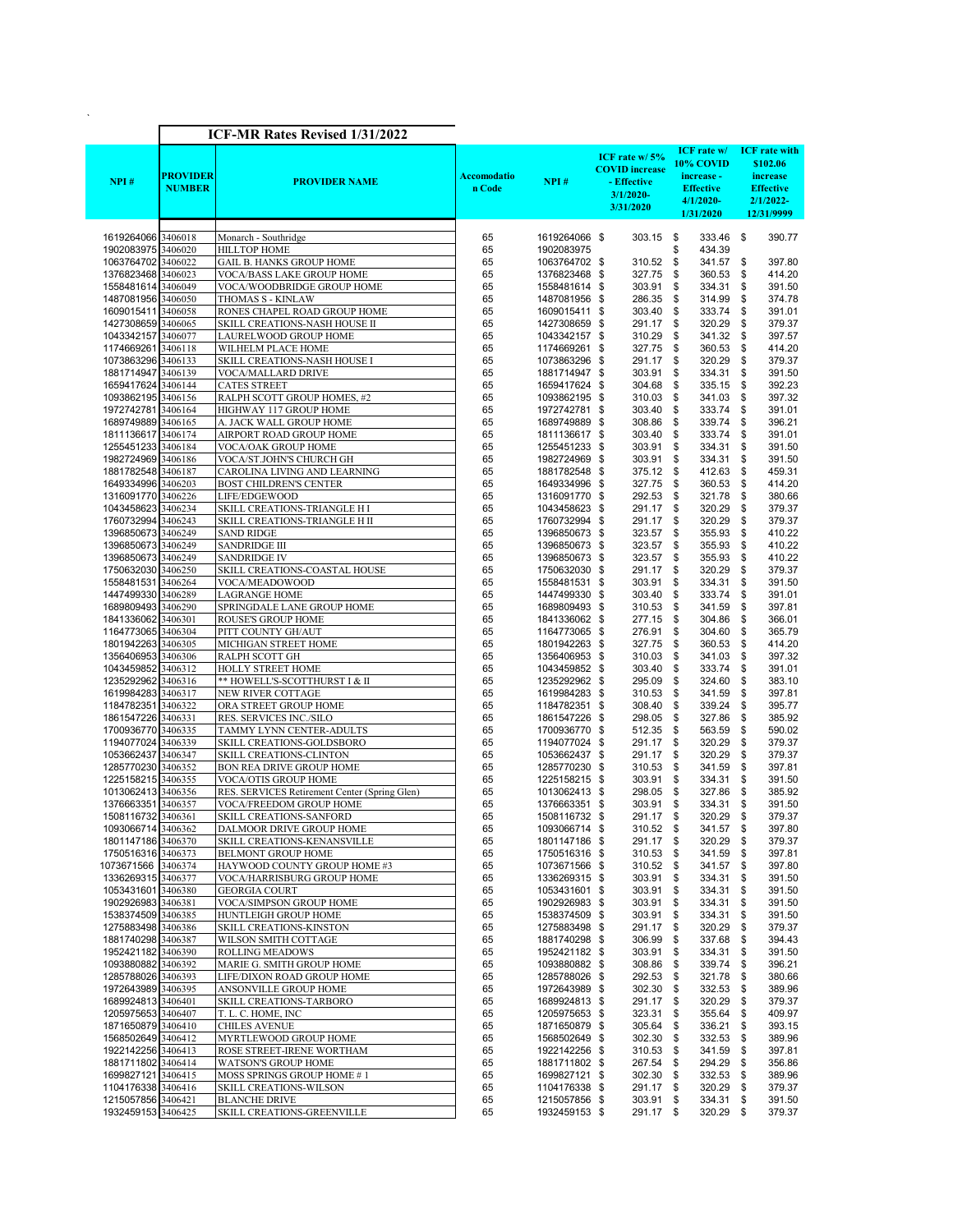|                                          |                                  |                                                                |                       |                                |                                                                                    | ICF rate w/ ICF rate with                                                |                                                                        |
|------------------------------------------|----------------------------------|----------------------------------------------------------------|-----------------------|--------------------------------|------------------------------------------------------------------------------------|--------------------------------------------------------------------------|------------------------------------------------------------------------|
| NPI#                                     | <b>PROVIDER</b><br><b>NUMBER</b> | <b>PROVIDER NAME</b>                                           | Accomodatio<br>n Code | NPI#                           | ICF rate w/5%<br><b>COVID</b> increase<br>- Effective<br>$3/1/2020$ -<br>3/31/2020 | 10% COVID<br>increase -<br><b>Effective</b><br>$4/1/2020$ -<br>1/31/2020 | \$102.06<br>increase<br><b>Effective</b><br>$2/1/2022 -$<br>12/31/9999 |
| 1619264066 3406018                       |                                  | Monarch - Southridge                                           | 65                    | 1619264066 \$                  | $303.15$ \$                                                                        | 333.46 \$                                                                | 390.77                                                                 |
| 1902083975 3406020                       |                                  | <b>HILLTOP HOME</b>                                            | 65                    | 1902083975                     |                                                                                    | 434.39<br>\$                                                             |                                                                        |
| 1063764702 3406022<br>1376823468 3406023 |                                  | <b>GAIL B. HANKS GROUP HOME</b><br>VOCA/BASS LAKE GROUP HOME   | 65<br>65              | 1063764702 \$<br>1376823468 \$ | 310.52<br>327.75                                                                   | \$<br>341.57<br>360.53<br>\$                                             | \$<br>397.80<br>\$<br>414.20                                           |
| 1558481614 3406049                       |                                  | VOCA/WOODBRIDGE GROUP HOME                                     | 65                    | 1558481614 \$                  | 303.91                                                                             | 334.31<br>\$                                                             | \$<br>391.50                                                           |
| 1487081956 3406050                       |                                  | THOMAS S - KINLAW                                              | 65                    | 1487081956 \$                  | 286.35                                                                             | \$<br>314.99                                                             | \$<br>374.78                                                           |
| 1609015411 3406058                       |                                  | RONES CHAPEL ROAD GROUP HOME                                   | 65                    | 1609015411 \$                  | 303.40                                                                             | \$<br>333.74                                                             | \$<br>391.01                                                           |
| 1427308659 3406065                       |                                  | SKILL CREATIONS-NASH HOUSE II                                  | 65                    | 1427308659 \$                  | 291.17 \$                                                                          | 320.29                                                                   | \$<br>379.37                                                           |
| 1043342157 3406077<br>1174669261 3406118 |                                  | LAURELWOOD GROUP HOME<br>WILHELM PLACE HOME                    | 65<br>65              | 1043342157 \$                  | 310.29<br>327.75                                                                   | \$<br>341.32<br>\$<br>360.53                                             | \$<br>397.57<br>\$<br>414.20                                           |
| 1073863296 3406133                       |                                  | SKILL CREATIONS-NASH HOUSE I                                   | 65                    | 1174669261 \$<br>1073863296 \$ | 291.17                                                                             | \$<br>320.29                                                             | \$<br>379.37                                                           |
| 1881714947 3406139                       |                                  | VOCA/MALLARD DRIVE                                             | 65                    | 1881714947 \$                  | 303.91                                                                             | \$<br>334.31                                                             | \$<br>391.50                                                           |
| 1659417624 3406144                       |                                  | <b>CATES STREET</b>                                            | 65                    | 1659417624 \$                  | 304.68                                                                             | \$<br>335.15                                                             | \$<br>392.23                                                           |
| 1093862195 3406156                       |                                  | RALPH SCOTT GROUP HOMES, #2                                    | 65                    | 1093862195 \$                  | 310.03 \$                                                                          | 341.03                                                                   | \$<br>397.32                                                           |
| 1972742781 3406164                       |                                  | HIGHWAY 117 GROUP HOME                                         | 65                    | 1972742781 \$                  | 303.40                                                                             | \$<br>333.74                                                             | \$<br>391.01                                                           |
| 1689749889 3406165                       |                                  | A. JACK WALL GROUP HOME                                        | 65                    | 1689749889 \$                  | 308.86                                                                             | \$<br>339.74                                                             | \$<br>396.21                                                           |
| 1811136617 3406174                       |                                  | AIRPORT ROAD GROUP HOME                                        | 65                    | 1811136617 \$                  | 303.40                                                                             | \$<br>333.74                                                             | \$<br>391.01                                                           |
| 1255451233 3406184                       |                                  | VOCA/OAK GROUP HOME                                            | 65                    | 1255451233 \$                  | 303.91                                                                             | \$<br>334.31<br>\$<br>334.31                                             | \$<br>391.50<br>\$                                                     |
| 1982724969 3406186<br>1881782548 3406187 |                                  | VOCA/ST.JOHN'S CHURCH GH<br>CAROLINA LIVING AND LEARNING       | 65<br>65              | 1982724969 \$<br>1881782548 \$ | 303.91<br>375.12                                                                   | \$<br>412.63                                                             | 391.50<br>\$<br>459.31                                                 |
| 1649334996 3406203                       |                                  | <b>BOST CHILDREN'S CENTER</b>                                  | 65                    | 1649334996 \$                  | 327.75                                                                             | \$<br>360.53                                                             | \$<br>414.20                                                           |
| 1316091770 3406226                       |                                  | LIFE/EDGEWOOD                                                  | 65                    | 1316091770 \$                  | 292.53                                                                             | \$<br>321.78                                                             | \$<br>380.66                                                           |
| 1043458623 3406234                       |                                  | SKILL CREATIONS-TRIANGLE H I                                   | 65                    | 1043458623 \$                  | 291.17 \$                                                                          | 320.29                                                                   | \$<br>379.37                                                           |
| 1760732994 3406243                       |                                  | SKILL CREATIONS-TRIANGLE H II                                  | 65                    | 1760732994 \$                  | 291.17                                                                             | \$<br>320.29                                                             | \$<br>379.37                                                           |
| 1396850673 3406249                       |                                  | <b>SAND RIDGE</b>                                              | 65                    | 1396850673 \$                  | 323.57                                                                             | \$<br>355.93                                                             | \$<br>410.22                                                           |
| 1396850673 3406249                       |                                  | <b>SANDRIDGE III</b>                                           | 65                    | 1396850673 \$                  | 323.57                                                                             | \$<br>355.93                                                             | \$<br>410.22                                                           |
| 1396850673 3406249<br>1750632030 3406250 |                                  | <b>SANDRIDGE IV</b><br>SKILL CREATIONS-COASTAL HOUSE           | 65<br>65              | 1396850673 \$<br>1750632030 \$ | 323.57<br>291.17 \$                                                                | \$<br>355.93<br>320.29                                                   | \$<br>410.22<br>\$<br>379.37                                           |
| 1558481531 3406264                       |                                  | VOCA/MEADOWOOD                                                 | 65                    | 1558481531 \$                  | 303.91                                                                             | 334.31<br>\$                                                             | \$<br>391.50                                                           |
| 1447499330 3406289                       |                                  | <b>LAGRANGE HOME</b>                                           | 65                    | 1447499330 \$                  | 303.40                                                                             | 333.74<br>\$                                                             | \$<br>391.01                                                           |
| 1689809493 3406290                       |                                  | SPRINGDALE LANE GROUP HOME                                     | 65                    | 1689809493 \$                  | 310.53                                                                             | 341.59<br>\$                                                             | \$<br>397.81                                                           |
| 1841336062 3406301                       |                                  | <b>ROUSE'S GROUP HOME</b>                                      | 65                    | 1841336062 \$                  | 277.15                                                                             | \$<br>304.86                                                             | \$<br>366.01                                                           |
| 1164773065 3406304                       |                                  | PITT COUNTY GH/AUT                                             | 65                    | 1164773065 \$                  | 276.91                                                                             | \$<br>304.60                                                             | \$<br>365.79                                                           |
| 1801942263 3406305                       |                                  | MICHIGAN STREET HOME                                           | 65                    | 1801942263 \$                  | 327.75                                                                             | \$<br>360.53                                                             | \$<br>414.20                                                           |
| 1356406953 3406306                       |                                  | RALPH SCOTT GH                                                 | 65<br>65              | 1356406953 \$                  | 310.03                                                                             | \$<br>341.03<br>333.74                                                   | \$<br>397.32<br>\$<br>391.01                                           |
| 1043459852 3406312<br>1235292962 3406316 |                                  | HOLLY STREET HOME<br>** HOWELL'S-SCOTTHURST I & II             | 65                    | 1043459852 \$<br>1235292962 \$ | 303.40<br>295.09                                                                   | \$<br>\$<br>324.60                                                       | \$<br>383.10                                                           |
| 1619984283 3406317                       |                                  | NEW RIVER COTTAGE                                              | 65                    | 1619984283 \$                  | 310.53                                                                             | \$<br>341.59                                                             | \$<br>397.81                                                           |
| 1184782351 3406322                       |                                  | ORA STREET GROUP HOME                                          | 65                    | 1184782351 \$                  | 308.40                                                                             | \$<br>339.24                                                             | \$<br>395.77                                                           |
| 1861547226 3406331                       |                                  | RES. SERVICES INC./SILO                                        | 65                    | 1861547226 \$                  | 298.05                                                                             | \$<br>327.86                                                             | \$<br>385.92                                                           |
| 1700936770 3406335                       |                                  | TAMMY LYNN CENTER-ADULTS                                       | 65                    | 1700936770 \$                  | 512.35                                                                             | \$<br>563.59                                                             | \$<br>590.02                                                           |
| 1194077024 3406339                       |                                  | SKILL CREATIONS-GOLDSBORO                                      | 65                    | 1194077024 \$                  | 291.17 \$                                                                          | 320.29                                                                   | \$<br>379.37                                                           |
| 1053662437 3406347                       |                                  | SKILL CREATIONS-CLINTON                                        | 65                    | 1053662437 \$                  | 291.17                                                                             | \$<br>320.29                                                             | \$<br>379.37                                                           |
| 1285770230 3406352<br>1225158215 3406355 |                                  | <b>BON REA DRIVE GROUP HOME</b><br><b>VOCA/OTIS GROUP HOME</b> | 65<br>65              | 1285770230 \$<br>1225158215 \$ | 310.53<br>303.91                                                                   | \$<br>341.59<br>\$<br>334.31                                             | \$<br>397.81<br>\$<br>391.50                                           |
| 1013062413 3406356                       |                                  | RES. SERVICES Retirement Center (Spring Glen)                  | 65                    | 1013062413 \$                  | 298.05 \$                                                                          | 327.86                                                                   | 385.92<br>\$                                                           |
| 1376663351 3406357                       |                                  | VOCA/FREEDOM GROUP HOME                                        | 65                    | 1376663351 \$                  | 303.91                                                                             | \$<br>334.31 \$                                                          | 391.50                                                                 |
| 1508116732 3406361                       |                                  | SKILL CREATIONS-SANFORD                                        | 65                    | 1508116732 \$                  | 291.17 \$                                                                          | 320.29 \$                                                                | 379.37                                                                 |
| 1093066714 3406362                       |                                  | DALMOOR DRIVE GROUP HOME                                       | 65                    | 1093066714 \$                  | 310.52                                                                             | 341.57 \$<br>\$                                                          | 397.80                                                                 |
| 1801147186 3406370                       |                                  | SKILL CREATIONS-KENANSVILLE                                    | 65                    | 1801147186 \$                  | 291.17                                                                             | 320.29<br>\$                                                             | \$<br>379.37                                                           |
| 1750516316 3406373                       |                                  | <b>BELMONT GROUP HOME</b>                                      | 65                    | 1750516316 \$                  | 310.53                                                                             | \$<br>341.59 \$                                                          | 397.81                                                                 |
| 1073671566 3406374<br>1336269315 3406377 |                                  | HAYWOOD COUNTY GROUP HOME #3<br>VOCA/HARRISBURG GROUP HOME     | 65<br>65              | 1073671566 \$<br>1336269315 \$ | 310.52                                                                             | 341.57<br>\$<br>334.31<br>\$                                             | \$<br>397.80<br>\$                                                     |
| 1053431601 3406380                       |                                  | <b>GEORGIA COURT</b>                                           | 65                    | 1053431601 \$                  | 303.91<br>303.91                                                                   | 334.31 \$<br>\$                                                          | 391.50<br>391.50                                                       |
| 1902926983 3406381                       |                                  | VOCA/SIMPSON GROUP HOME                                        | 65                    | 1902926983 \$                  | 303.91                                                                             | 334.31<br>\$                                                             | \$<br>391.50                                                           |
| 1538374509 3406385                       |                                  | HUNTLEIGH GROUP HOME                                           | 65                    | 1538374509 \$                  | 303.91                                                                             | 334.31<br>\$                                                             | \$<br>391.50                                                           |
| 1275883498 3406386                       |                                  | SKILL CREATIONS-KINSTON                                        | 65                    | 1275883498 \$                  | 291.17                                                                             | 320.29<br>\$                                                             | \$<br>379.37                                                           |
| 1881740298 3406387                       |                                  | WILSON SMITH COTTAGE                                           | 65                    | 1881740298 \$                  | 306.99                                                                             | 337.68<br>\$                                                             | \$<br>394.43                                                           |
| 1952421182 3406390                       |                                  | <b>ROLLING MEADOWS</b>                                         | 65                    | 1952421182 \$                  | 303.91                                                                             | 334.31<br>\$                                                             | 391.50<br>\$                                                           |
| 1093880882 3406392                       |                                  | MARIE G. SMITH GROUP HOME                                      | 65                    | 1093880882 \$                  | 308.86                                                                             | 339.74 \$<br>\$                                                          | 396.21                                                                 |
| 1285788026 3406393<br>1972643989 3406395 |                                  | LIFE/DIXON ROAD GROUP HOME<br>ANSONVILLE GROUP HOME            | 65                    | 1285788026 \$                  | 292.53<br>302.30                                                                   | \$<br>321.78<br>332.53<br>\$                                             | \$<br>380.66<br>\$                                                     |
| 1689924813 3406401                       |                                  | SKILL CREATIONS-TARBORO                                        | 65<br>65              | 1972643989 \$<br>1689924813 \$ | 291.17                                                                             | 320.29<br>\$                                                             | 389.96<br>379.37<br>\$                                                 |
| 1205975653 3406407                       |                                  | T. L. C. HOME, INC                                             | 65                    | 1205975653 \$                  | 323.31                                                                             | \$<br>355.64                                                             | \$<br>409.97                                                           |
| 1871650879 3406410                       |                                  | <b>CHILES AVENUE</b>                                           | 65                    | 1871650879 \$                  | 305.64                                                                             | \$<br>336.21                                                             | \$<br>393.15                                                           |
| 1568502649 3406412                       |                                  | MYRTLEWOOD GROUP HOME                                          | 65                    | 1568502649 \$                  | 302.30                                                                             | 332.53<br>\$                                                             | 389.96<br>\$                                                           |
| 1922142256 3406413                       |                                  | ROSE STREET-IRENE WORTHAM                                      | 65                    | 1922142256 \$                  | 310.53                                                                             | \$<br>341.59                                                             | \$<br>397.81                                                           |
| 1881711802 3406414                       |                                  | WATSON'S GROUP HOME                                            | 65                    | 1881711802 \$                  | 267.54                                                                             | \$<br>294.29                                                             | \$<br>356.86                                                           |
| 1699827121 3406415                       |                                  | MOSS SPRINGS GROUP HOME #1                                     | 65                    | 1699827121 \$                  | 302.30                                                                             | \$<br>332.53                                                             | \$<br>389.96                                                           |
| 1104176338 3406416                       |                                  | <b>SKILL CREATIONS-WILSON</b><br><b>BLANCHE DRIVE</b>          | 65<br>65              | 1104176338 \$<br>1215057856 \$ | 291.17 \$<br>303.91                                                                | 320.29<br>\$<br>334.31                                                   | \$<br>379.37<br>\$<br>391.50                                           |
| 1215057856 3406421                       |                                  |                                                                |                       |                                |                                                                                    |                                                                          |                                                                        |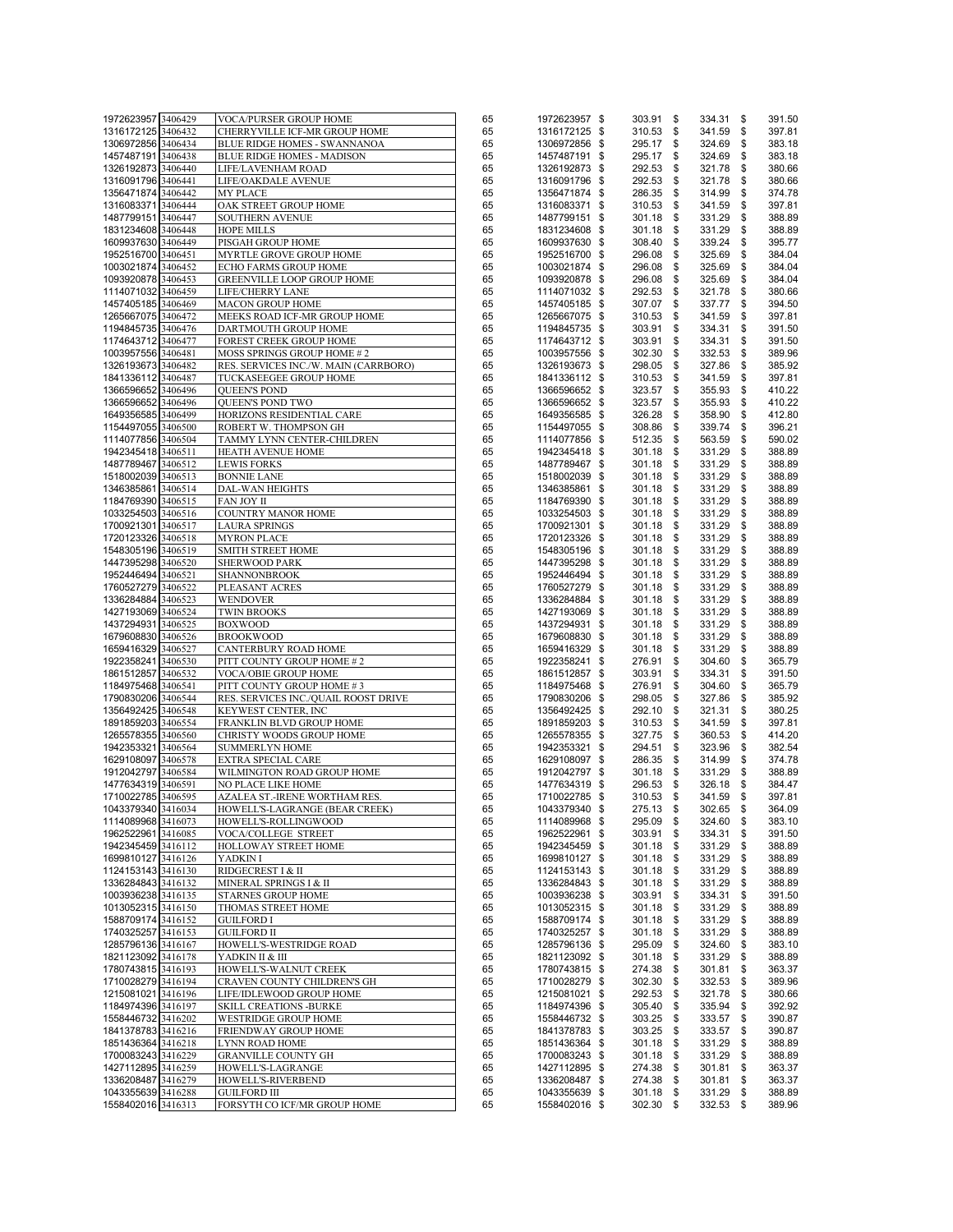| 1972623957 3406429                       |                    |                                                     |          |                                |                          |                     |                        |
|------------------------------------------|--------------------|-----------------------------------------------------|----------|--------------------------------|--------------------------|---------------------|------------------------|
|                                          |                    | <b>VOCA/PURSER GROUP HOME</b>                       | 65       | 1972623957 \$                  | 303.91 \$                | 334.31              | \$<br>391.50           |
| 1316172125 3406432                       |                    | CHERRYVILLE ICF-MR GROUP HOME                       | 65       | 1316172125 \$                  | 310.53 \$                | 341.59              | \$<br>397.81           |
| 1306972856 3406434                       |                    | BLUE RIDGE HOMES - SWANNANOA                        | 65       | 1306972856 \$                  | 295.17 \$                | 324.69              | \$<br>383.18           |
| 1457487191 3406438                       |                    | <b>BLUE RIDGE HOMES - MADISON</b>                   | 65       | 1457487191 \$                  | 295.17 \$                | 324.69              | \$<br>383.18           |
| 1326192873 3406440                       |                    | LIFE/LAVENHAM ROAD                                  | 65       | 1326192873 \$                  | 292.53 \$                | 321.78              | \$<br>380.66           |
| 1316091796 3406441                       |                    | LIFE/OAKDALE AVENUE                                 | 65       | 1316091796 \$                  | 292.53                   | \$<br>321.78        | \$<br>380.66           |
| 1356471874 3406442                       |                    | <b>MY PLACE</b>                                     | 65       | 1356471874 \$                  | 286.35 \$                | 314.99              | \$<br>374.78           |
| 1316083371 3406444                       |                    | OAK STREET GROUP HOME                               | 65       | 1316083371 \$                  |                          | 341.59              | \$<br>397.81           |
|                                          |                    |                                                     |          |                                | 310.53 \$                |                     |                        |
| 1487799151 3406447                       |                    | <b>SOUTHERN AVENUE</b>                              | 65       | 1487799151 \$                  | $301.18$ \$              | 331.29              | \$<br>388.89           |
| 1831234608 3406448                       |                    | <b>HOPE MILLS</b>                                   | 65       | 1831234608 \$                  | $301.18$ \$              | 331.29              | \$<br>388.89           |
| 1609937630 3406449                       |                    | PISGAH GROUP HOME                                   | 65       | 1609937630 \$                  | 308.40                   | \$<br>339.24        | \$<br>395.77           |
| 1952516700 3406451                       |                    | MYRTLE GROVE GROUP HOME                             | 65       | 1952516700 \$                  | 296.08                   | \$<br>325.69        | \$<br>384.04           |
| 1003021874 3406452                       |                    | ECHO FARMS GROUP HOME                               | 65       | 1003021874 \$                  | 296.08 \$                | 325.69              | \$<br>384.04           |
| 1093920878 3406453                       |                    | GREENVILLE LOOP GROUP HOME                          | 65       | 1093920878 \$                  | 296.08 \$                | 325.69              | \$<br>384.04           |
| 1114071032 3406459                       |                    | LIFE/CHERRY LANE                                    | 65       | 1114071032 \$                  | 292.53 \$                | 321.78              | \$<br>380.66           |
| 1457405185 3406469                       |                    | <b>MACON GROUP HOME</b>                             | 65       | 1457405185 \$                  | 307.07 \$                | 337.77              | \$<br>394.50           |
| 1265667075 3406472                       |                    | MEEKS ROAD ICF-MR GROUP HOME                        | 65       | 1265667075 \$                  | 310.53 \$                | 341.59              | \$<br>397.81           |
| 1194845735 3406476                       |                    | DARTMOUTH GROUP HOME                                | 65       | 1194845735 \$                  | 303.91 \$                | 334.31              | \$<br>391.50           |
| 1174643712 3406477                       |                    | FOREST CREEK GROUP HOME                             | 65       | 1174643712 \$                  | 303.91                   | \$<br>334.31        | \$<br>391.50           |
| 1003957556 3406481                       |                    | MOSS SPRINGS GROUP HOME # 2                         | 65       | 1003957556 \$                  | 302.30 \$                | 332.53              | \$<br>389.96           |
| 1326193673 3406482                       |                    | RES. SERVICES INC./W. MAIN (CARRBORO)               | 65       | 1326193673 \$                  | 298.05 \$                |                     | \$<br>385.92           |
|                                          |                    |                                                     |          |                                |                          | 327.86              |                        |
| 1841336112 3406487                       |                    | TUCKASEEGEE GROUP HOME                              | 65       | 1841336112 \$                  | 310.53 \$                | 341.59              | \$<br>397.81           |
| 1366596652 3406496                       |                    | QUEEN'S POND                                        | 65       | 1366596652 \$                  | 323.57 \$                | 355.93              | \$<br>410.22           |
| 1366596652 3406496                       |                    | QUEEN'S POND TWO                                    | 65       | 1366596652 \$                  | 323.57 \$                | 355.93              | \$<br>410.22           |
| 1649356585 3406499                       |                    | HORIZONS RESIDENTIAL CARE                           | 65       | 1649356585 \$                  | 326.28 \$                | 358.90              | \$<br>412.80           |
| 1154497055 3406500                       |                    | ROBERT W. THOMPSON GH                               | 65       | 1154497055 \$                  | 308.86 \$                | 339.74              | \$<br>396.21           |
| 1114077856 3406504                       |                    | TAMMY LYNN CENTER-CHILDREN                          | 65       | 1114077856 \$                  | 512.35 \$                | 563.59              | \$<br>590.02           |
| 1942345418 3406511                       |                    | HEATH AVENUE HOME                                   | 65       | 1942345418 \$                  | $301.18$ \$              | 331.29              | \$<br>388.89           |
| 1487789467 3406512                       |                    | <b>LEWIS FORKS</b>                                  | 65       | 1487789467 \$                  | $301.18$ \$              | 331.29              | \$<br>388.89           |
| 1518002039 3406513                       |                    | <b>BONNIE LANE</b>                                  | 65       | 1518002039 \$                  | $301.18$ \$              | 331.29              | \$<br>388.89           |
| 1346385861 3406514                       |                    | DAL-WAN HEIGHTS                                     | 65       | 1346385861 \$                  | $301.18$ \$              | 331.29              | \$<br>388.89           |
| 1184769390 3406515                       |                    | FAN JOY II                                          | 65       | 1184769390 \$                  | 301.18 \$                | 331.29              | \$<br>388.89           |
| 1033254503 3406516                       |                    | <b>COUNTRY MANOR HOME</b>                           | 65       | 1033254503 \$                  | $301.18$ \$              | 331.29              | \$<br>388.89           |
|                                          |                    |                                                     |          |                                |                          |                     |                        |
| 1700921301 3406517                       |                    | <b>LAURA SPRINGS</b>                                | 65       | 1700921301 \$                  | $301.18$ \$              | 331.29              | \$<br>388.89           |
| 1720123326 3406518                       |                    | <b>MYRON PLACE</b>                                  | 65       | 1720123326 \$                  | $301.18$ \$              | 331.29              | \$<br>388.89           |
| 1548305196 3406519                       |                    | SMITH STREET HOME                                   | 65       | 1548305196 \$                  | 301.18 \$                | 331.29              | \$<br>388.89           |
| 1447395298 3406520                       |                    | <b>SHERWOOD PARK</b>                                | 65       | 1447395298 \$                  | $301.18$ \$              | 331.29              | \$<br>388.89           |
| 1952446494 3406521                       |                    | <b>SHANNONBROOK</b>                                 | 65       | 1952446494 \$                  | $301.18$ \$              | 331.29              | \$<br>388.89           |
| 1760527279 3406522                       |                    | PLEASANT ACRES                                      | 65       | 1760527279 \$                  | $301.18$ \$              | 331.29              | \$<br>388.89           |
| 1336284884 3406523                       |                    | <b>WENDOVER</b>                                     | 65       | 1336284884 \$                  | 301.18 \$                | 331.29              | \$<br>388.89           |
| 1427193069 3406524                       |                    | <b>TWIN BROOKS</b>                                  | 65       | 1427193069 \$                  | $301.18$ \$              | 331.29              | \$<br>388.89           |
| 1437294931 3406525                       |                    | <b>BOXWOOD</b>                                      | 65       | 1437294931 \$                  | $301.18$ \$              | 331.29              | \$<br>388.89           |
| 1679608830 3406526                       |                    | <b>BROOKWOOD</b>                                    | 65       | 1679608830 \$                  | $301.18$ \$              | 331.29              | \$<br>388.89           |
| 1659416329 3406527                       |                    | CANTERBURY ROAD HOME                                | 65       | 1659416329 \$                  | $301.18$ \$              | 331.29              | \$<br>388.89           |
| 1922358241 3406530                       |                    | PITT COUNTY GROUP HOME #2                           | 65       | 1922358241 \$                  | 276.91                   | \$<br>304.60        | \$<br>365.79           |
| 1861512857 3406532                       |                    | VOCA/OBIE GROUP HOME                                | 65       | 1861512857 \$                  | 303.91 \$                | 334.31              | \$<br>391.50           |
|                                          |                    |                                                     |          |                                | 276.91                   |                     | \$                     |
|                                          |                    |                                                     |          |                                |                          |                     | 365.79                 |
|                                          | 1184975468 3406541 | PITT COUNTY GROUP HOME #3                           | 65       | 1184975468 \$                  |                          | \$<br>304.60        |                        |
| 1790830206 3406544                       |                    | RES. SERVICES INC./QUAIL ROOST DRIVE                | 65       | 1790830206 \$                  | 298.05 \$                | 327.86              | \$<br>385.92           |
| 1356492425 3406548                       |                    | KEYWEST CENTER, INC                                 | 65       | 1356492425 \$                  | 292.10 \$                | 321.31              | \$<br>380.25           |
| 1891859203 3406554                       |                    | FRANKLIN BLVD GROUP HOME                            | 65       | 1891859203 \$                  | 310.53 \$                | 341.59              | \$<br>397.81           |
| 1265578355 3406560                       |                    | CHRISTY WOODS GROUP HOME                            | 65       | 1265578355 \$                  | 327.75 \$                | 360.53              | \$<br>414.20           |
| 1942353321 3406564                       |                    | <b>SUMMERLYN HOME</b>                               | 65       | 1942353321 \$                  | 294.51                   | \$<br>323.96        | \$<br>382.54           |
| 1629108097 3406578                       |                    | EXTRA SPECIAL CARE                                  | 65       | 1629108097 \$                  | 286.35 \$                | 314.99              | \$<br>374.78           |
| 1912042797 3406584                       |                    | WILMINGTON ROAD GROUP HOME                          | 65       | 1912042797 \$                  | 301.18 \$                | 331.29              | \$<br>388.89           |
| 1477634319 3406591                       |                    | NO PLACE LIKE HOME                                  | 65       | 1477634319 \$                  | 296.53 \$                | 326.18              | \$<br>384.47           |
| 1710022785 3406595                       |                    | AZALEA ST.-IRENE WORTHAM RES.                       | 65       | 1710022785 \$                  | 310.53 \$                | 341.59              | \$<br>397.81           |
| 1043379340 3416034                       |                    | HOWELL'S-LAGRANGE (BEAR CREEK)                      | 65       | 1043379340 \$                  | 275.13 \$                | 302.65 \$           | 364.09                 |
|                                          |                    |                                                     | 65       |                                | 295.09 \$                |                     |                        |
| 1114089968 3416073                       |                    | HOWELL'S-ROLLINGWOOD                                | 65       | 1114089968 \$                  |                          | 324.60 \$<br>334.31 | \$<br>383.10           |
| 1962522961 3416085                       |                    | VOCA/COLLEGE STREET                                 |          | 1962522961 \$                  | 303.91 \$                |                     | 391.50                 |
| 1942345459 3416112                       |                    | HOLLOWAY STREET HOME                                | 65       | 1942345459 \$                  | $301.18$ \$              | 331.29              | \$<br>388.89           |
| 1699810127 3416126                       |                    | YADKIN I                                            | 65       | 1699810127 \$                  | $301.18$ \$              | 331.29              | \$<br>388.89           |
| 1124153143 3416130                       |                    | RIDGECREST I & II                                   | 65       | 1124153143 \$                  | $301.18$ \$              | 331.29              | \$<br>388.89           |
| 1336284843 3416132                       |                    | MINERAL SPRINGS I & II                              | 65       | 1336284843 \$                  | $301.18$ \$              | 331.29              | \$<br>388.89           |
| 1003936238 3416135                       |                    | <b>STARNES GROUP HOME</b>                           | 65       | 1003936238 \$                  | 303.91                   | \$<br>334.31        | \$<br>391.50           |
| 1013052315 3416150                       |                    | THOMAS STREET HOME                                  | 65       | 1013052315 \$                  | $301.18$ \$              | 331.29              | \$<br>388.89           |
| 1588709174 3416152                       |                    | <b>GUILFORD I</b>                                   | 65       | 1588709174 \$                  | 301.18 \$                | 331.29              | \$<br>388.89           |
| 1740325257 3416153                       |                    | <b>GUILFORD II</b>                                  | 65       | 1740325257 \$                  | $301.18$ \$              | 331.29              | \$<br>388.89           |
| 1285796136 3416167                       |                    | HOWELL'S-WESTRIDGE ROAD                             | 65       | 1285796136 \$                  | 295.09                   | \$<br>324.60        | \$<br>383.10           |
| 1821123092 3416178                       |                    | YADKIN II & III                                     | 65       | 1821123092 \$                  | $301.18$ \$              | 331.29              | \$<br>388.89           |
| 1780743815 3416193                       |                    | HOWELL'S-WALNUT CREEK                               | 65       | 1780743815 \$                  | 274.38 \$                | 301.81              | \$<br>363.37           |
| 1710028279 3416194                       |                    | CRAVEN COUNTY CHILDREN'S GH                         | 65       | 1710028279 \$                  | 302.30 \$                | 332.53              | \$<br>389.96           |
| 1215081021 3416196                       |                    | LIFE/IDLEWOOD GROUP HOME                            | 65       | 1215081021 \$                  | 292.53 \$                | 321.78              | \$<br>380.66           |
| 1184974396 3416197                       |                    | <b>SKILL CREATIONS -BURKE</b>                       | 65       | 1184974396 \$                  | 305.40 \$                | 335.94              | \$<br>392.92           |
| 1558446732 3416202                       |                    | <b>WESTRIDGE GROUP HOME</b>                         | 65       | 1558446732 \$                  | $303.25$ \$              | 333.57              | \$<br>390.87           |
| 1841378783 3416216                       |                    | FRIENDWAY GROUP HOME                                | 65       | 1841378783 \$                  | $303.25$ \$              | 333.57              | \$<br>390.87           |
|                                          |                    |                                                     | 65       |                                |                          |                     | 388.89                 |
| 1851436364 3416218                       |                    | <b>LYNN ROAD HOME</b>                               |          | 1851436364 \$                  | 301.18 \$                | 331.29              | \$                     |
| 1700083243 3416229                       |                    | <b>GRANVILLE COUNTY GH</b>                          | 65       | 1700083243 \$                  | $301.18$ \$              | 331.29              | \$<br>388.89           |
| 1427112895 3416259                       |                    | HOWELL'S-LAGRANGE                                   | 65       | 1427112895 \$                  | 274.38 \$                | 301.81              | \$<br>363.37           |
| 1336208487 3416279                       |                    | HOWELL'S-RIVERBEND                                  | 65       | 1336208487 \$                  | 274.38 \$                | 301.81              | \$<br>363.37           |
| 1043355639 3416288<br>1558402016 3416313 |                    | <b>GUILFORD III</b><br>FORSYTH CO ICF/MR GROUP HOME | 65<br>65 | 1043355639 \$<br>1558402016 \$ | $301.18$ \$<br>302.30 \$ | 331.29<br>332.53 \$ | \$<br>388.89<br>389.96 |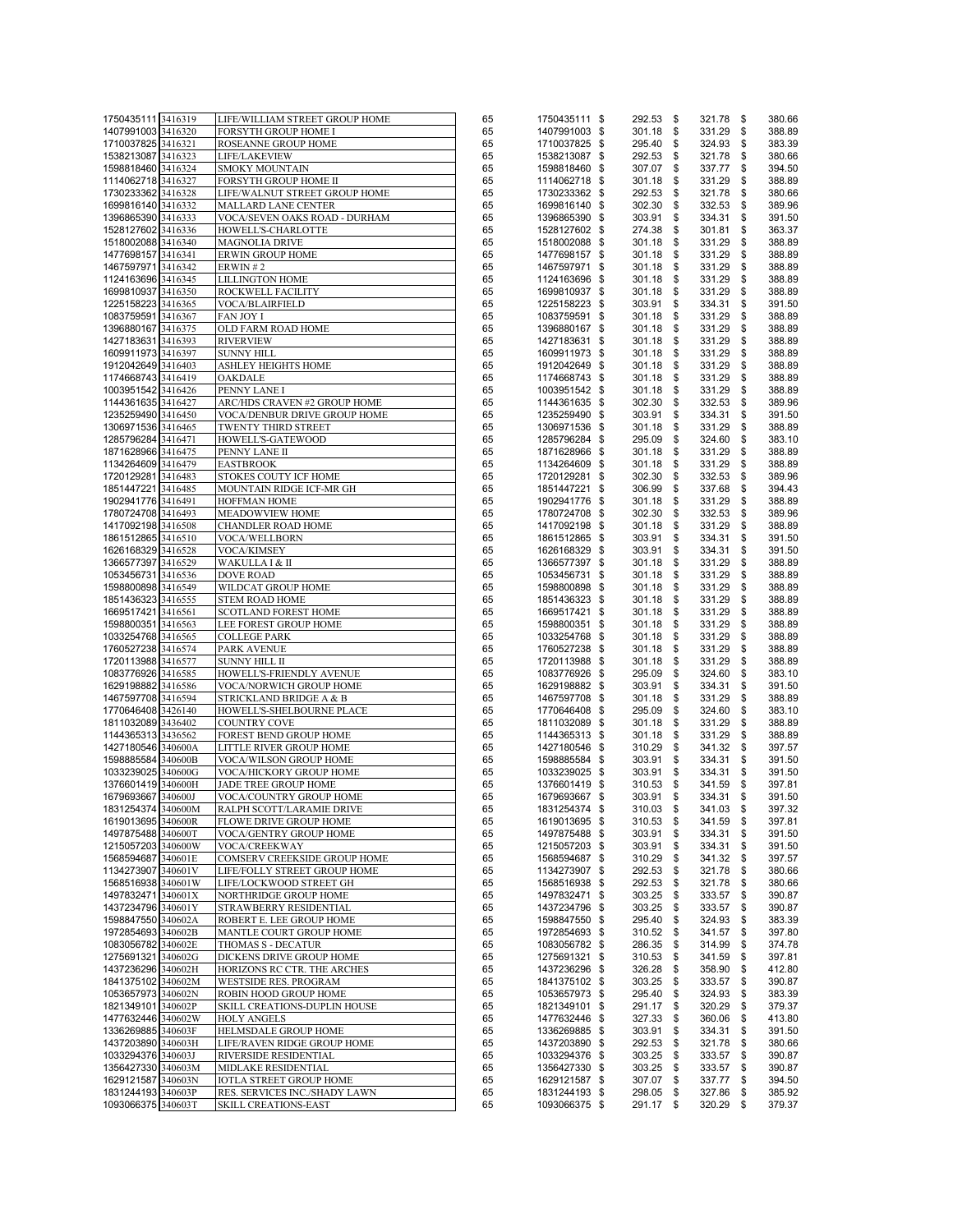| 1750435111 3416319 |                    | LIFE/WILLIAM STREET GROUP HOME | 65 | 1750435111 \$ | 292.53 \$   |          | 321.78    | \$<br>380.66 |
|--------------------|--------------------|--------------------------------|----|---------------|-------------|----------|-----------|--------------|
| 1407991003 3416320 |                    | FORSYTH GROUP HOME I           | 65 | 1407991003 \$ | $301.18$ \$ |          | 331.29    | \$<br>388.89 |
|                    |                    |                                |    |               |             |          |           |              |
| 1710037825         | 3416321            | ROSEANNE GROUP HOME            | 65 | 1710037825 \$ | 295.40      | <b>S</b> | 324.93    | \$<br>383.39 |
| 1538213087 3416323 |                    | LIFE/LAKEVIEW                  | 65 | 1538213087 \$ | 292.53 \$   |          | 321.78    | \$<br>380.66 |
| 1598818460 3416324 |                    | <b>SMOKY MOUNTAIN</b>          | 65 | 1598818460 \$ | 307.07 \$   |          | 337.77    | \$<br>394.50 |
| 1114062718 3416327 |                    | FORSYTH GROUP HOME II          | 65 | 1114062718 \$ | $301.18$ \$ |          | 331.29    | \$<br>388.89 |
| 1730233362 3416328 |                    | LIFE/WALNUT STREET GROUP HOME  |    | 1730233362 \$ | 292.53 \$   |          | 321.78    |              |
|                    |                    |                                | 65 |               |             |          |           | \$<br>380.66 |
| 1699816140 3416332 |                    | MALLARD LANE CENTER            | 65 | 1699816140 \$ | 302.30 \$   |          | 332.53    | \$<br>389.96 |
| 1396865390 3416333 |                    | VOCA/SEVEN OAKS ROAD - DURHAM  | 65 | 1396865390 \$ | 303.91      | - \$     | 334.31    | \$<br>391.50 |
| 1528127602 3416336 |                    | HOWELL'S-CHARLOTTE             | 65 | 1528127602 \$ | 274.38 \$   |          | 301.81    | \$<br>363.37 |
| 1518002088 3416340 |                    | <b>MAGNOLIA DRIVE</b>          | 65 | 1518002088 \$ | $301.18$ \$ |          | 331.29    | \$<br>388.89 |
|                    |                    |                                |    |               |             |          |           |              |
| 1477698157 3416341 |                    | ERWIN GROUP HOME               | 65 | 1477698157 \$ | $301.18$ \$ |          | 331.29    | \$<br>388.89 |
| 1467597971 3416342 |                    | ERWIN#2                        | 65 | 1467597971 \$ | $301.18$ \$ |          | 331.29    | \$<br>388.89 |
| 1124163696 3416345 |                    | <b>LILLINGTON HOME</b>         | 65 | 1124163696 \$ | $301.18$ \$ |          | 331.29    | \$<br>388.89 |
| 1699810937 3416350 |                    | ROCKWELL FACILITY              | 65 | 1699810937 \$ | $301.18$ \$ |          | 331.29    | \$<br>388.89 |
| 1225158223 3416365 |                    | <b>VOCA/BLAIRFIELD</b>         | 65 | 1225158223 \$ | 303.91 \$   |          | 334.31    | \$<br>391.50 |
|                    |                    |                                |    |               |             |          |           |              |
| 1083759591 3416367 |                    | <b>FAN JOY I</b>               | 65 | 1083759591 \$ | $301.18$ \$ |          | 331.29    | \$<br>388.89 |
| 1396880167 3416375 |                    | OLD FARM ROAD HOME             | 65 | 1396880167 \$ | $301.18$ \$ |          | 331.29    | \$<br>388.89 |
| 1427183631 3416393 |                    | <b>RIVERVIEW</b>               | 65 | 1427183631 \$ | $301.18$ \$ |          | 331.29    | \$<br>388.89 |
| 1609911973 3416397 |                    | <b>SUNNY HILL</b>              | 65 | 1609911973 \$ | $301.18$ \$ |          | 331.29    | \$<br>388.89 |
| 1912042649 3416403 |                    | ASHLEY HEIGHTS HOME            | 65 | 1912042649 \$ | $301.18$ \$ |          | 331.29    | \$<br>388.89 |
|                    |                    |                                |    |               |             |          |           |              |
| 1174668743 3416419 |                    | OAKDALE                        | 65 | 1174668743 \$ | $301.18$ \$ |          | 331.29    | \$<br>388.89 |
| 1003951542 3416426 |                    | PENNY LANE I                   | 65 | 1003951542 \$ | $301.18$ \$ |          | 331.29    | \$<br>388.89 |
| 1144361635 3416427 |                    | ARC/HDS CRAVEN #2 GROUP HOME   | 65 | 1144361635 \$ | 302.30      | - \$     | 332.53    | \$<br>389.96 |
| 1235259490 3416450 |                    | VOCA/DENBUR DRIVE GROUP HOME   | 65 | 1235259490 \$ | 303.91      | - \$     | 334.31    | \$<br>391.50 |
| 1306971536 3416465 |                    | TWENTY THIRD STREET            | 65 | 1306971536 \$ | $301.18$ \$ |          | 331.29    | \$<br>388.89 |
| 1285796284 3416471 |                    |                                |    |               |             |          |           |              |
|                    |                    | HOWELL'S-GATEWOOD              | 65 | 1285796284 \$ | 295.09 \$   |          | 324.60    | \$<br>383.10 |
| 1871628966 3416475 |                    | PENNY LANE II                  | 65 | 1871628966 \$ | $301.18$ \$ |          | 331.29    | \$<br>388.89 |
| 1134264609 3416479 |                    | <b>EASTBROOK</b>               | 65 | 1134264609 \$ | $301.18$ \$ |          | 331.29    | \$<br>388.89 |
| 1720129281 3416483 |                    | STOKES COUTY ICF HOME          | 65 | 1720129281 \$ | 302.30      | - \$     | 332.53    | \$<br>389.96 |
| 1851447221 3416485 |                    | MOUNTAIN RIDGE ICF-MR GH       | 65 | 1851447221 \$ | 306.99      | - \$     | 337.68    | \$<br>394.43 |
|                    |                    |                                |    |               |             |          |           |              |
| 1902941776 3416491 |                    | <b>HOFFMAN HOME</b>            | 65 | 1902941776 \$ | $301.18$ \$ |          | 331.29    | \$<br>388.89 |
| 1780724708 3416493 |                    | MEADOWVIEW HOME                | 65 | 1780724708 \$ | 302.30 \$   |          | 332.53    | \$<br>389.96 |
| 1417092198 3416508 |                    | <b>CHANDLER ROAD HOME</b>      | 65 | 1417092198 \$ | 301.18      | <b>S</b> | 331.29    | \$<br>388.89 |
| 1861512865 3416510 |                    | VOCA/WELLBORN                  | 65 | 1861512865 \$ | 303.91 \$   |          | 334.31    | \$<br>391.50 |
|                    |                    | <b>VOCA/KIMSEY</b>             | 65 |               |             |          |           |              |
| 1626168329 3416528 |                    |                                |    | 1626168329 \$ | 303.91 \$   |          | 334.31    | \$<br>391.50 |
| 1366577397 3416529 |                    | WAKULLA I & II                 | 65 | 1366577397 \$ | 301.18      | <b>S</b> | 331.29    | \$<br>388.89 |
| 1053456731 3416536 |                    | <b>DOVE ROAD</b>               | 65 | 1053456731 \$ | $301.18$ \$ |          | 331.29    | \$<br>388.89 |
| 1598800898 3416549 |                    | WILDCAT GROUP HOME             | 65 | 1598800898 \$ | 301.18 \$   |          | 331.29    | \$<br>388.89 |
| 1851436323 3416555 |                    | <b>STEM ROAD HOME</b>          | 65 | 1851436323 \$ | $301.18$ \$ |          | 331.29    | \$<br>388.89 |
| 1669517421 3416561 |                    | SCOTLAND FOREST HOME           | 65 | 1669517421 \$ | $301.18$ \$ |          | 331.29    | \$<br>388.89 |
|                    |                    |                                |    |               |             |          |           |              |
| 1598800351 3416563 |                    | LEE FOREST GROUP HOME          | 65 | 1598800351 \$ | $301.18$ \$ |          | 331.29    | \$<br>388.89 |
| 1033254768 3416565 |                    | <b>COLLEGE PARK</b>            | 65 | 1033254768 \$ | $301.18$ \$ |          | 331.29    | \$<br>388.89 |
| 1760527238 3416574 |                    | PARK AVENUE                    | 65 | 1760527238 \$ | $301.18$ \$ |          | 331.29    | \$<br>388.89 |
| 1720113988 3416577 |                    | <b>SUNNY HILL II</b>           | 65 | 1720113988 \$ | $301.18$ \$ |          | 331.29    | \$<br>388.89 |
| 1083776926 3416585 |                    | HOWELL'S-FRIENDLY AVENUE       | 65 | 1083776926 \$ | 295.09      | - \$     | 324.60    | \$<br>383.10 |
|                    |                    |                                |    |               |             |          |           |              |
| 1629198882 3416586 |                    | VOCA/NORWICH GROUP HOME        | 65 | 1629198882 \$ | 303.91      | \$       | 334.31    | \$<br>391.50 |
| 1467597708 3416594 |                    | STRICKLAND BRIDGE A & B        | 65 | 1467597708 \$ | $301.18$ \$ |          | 331.29    | \$<br>388.89 |
| 1770646408 3426140 |                    | HOWELL'S-SHELBOURNE PLACE      | 65 | 1770646408 \$ | 295.09      | - \$     | 324.60    | \$<br>383.10 |
| 1811032089 3436402 |                    | COUNTRY COVE                   | 65 | 1811032089 \$ | $301.18$ \$ |          | 331.29    | \$<br>388.89 |
| 1144365313 3436562 |                    | FOREST BEND GROUP HOME         | 65 | 1144365313 \$ | $301.18$ \$ |          | 331.29    | \$<br>388.89 |
|                    |                    |                                |    |               |             |          |           |              |
| 1427180546 340600A |                    | LITTLE RIVER GROUP HOME        | 65 | 1427180546 \$ | 310.29 \$   |          | 341.32    | \$<br>397.57 |
| 1598885584 340600B |                    | VOCA/WILSON GROUP HOME         | 65 | 1598885584 \$ | 303.91 \$   |          | 334.31    | \$<br>391.50 |
| 1033239025 340600G |                    | VOCA/HICKORY GROUP HOME        | 65 | 1033239025 \$ | 303.91 \$   |          | 334.31    | \$<br>391.50 |
| 1376601419 340600H |                    | JADE TREE GROUP HOME           | 65 | 1376601419 \$ | 310.53 \$   |          | 341.59    | \$<br>397.81 |
| 1679693667 340600J |                    | VOCA/COUNTRY GROUP HOME        | 65 | 1679693667 \$ | 303.91      | \$       | 334.31    | \$<br>391.50 |
| 1831254374 340600M |                    | RALPH SCOTT/LARAMIE DRIVE      | 65 | 1831254374 \$ | 310.03 \$   |          | 341.03    | \$<br>397.32 |
|                    |                    |                                |    |               |             |          |           |              |
| 1619013695 340600R |                    | FLOWE DRIVE GROUP HOME         | 65 | 1619013695 \$ | 310.53 \$   |          | 341.59 \$ | 397.81       |
| 1497875488         | 340600T            | VOCA/GENTRY GROUP HOME         | 65 | 1497875488 \$ | 303.91      | \$       | 334.31    | \$<br>391.50 |
| 1215057203 340600W |                    | <b>VOCA/CREEKWAY</b>           | 65 | 1215057203 \$ | 303.91 \$   |          | 334.31    | \$<br>391.50 |
| 1568594687 340601E |                    | COMSERV CREEKSIDE GROUP HOME   | 65 | 1568594687 \$ | 310.29      | \$       | 341.32    | \$<br>397.57 |
| 1134273907 340601V |                    | LIFE/FOLLY STREET GROUP HOME   | 65 | 1134273907 \$ | 292.53      | \$       | 321.78    | \$<br>380.66 |
| 1568516938 340601W |                    |                                |    |               |             | \$       |           | 380.66       |
|                    |                    | LIFE/LOCKWOOD STREET GH        | 65 | 1568516938 \$ | 292.53      |          | 321.78    | \$           |
| 1497832471 340601X |                    | NORTHRIDGE GROUP HOME          | 65 | 1497832471 \$ | $303.25$ \$ |          | 333.57    | \$<br>390.87 |
| 1437234796         | 340601Y            | STRAWBERRY RESIDENTIAL         | 65 | 1437234796 \$ | 303.25      | \$       | 333.57    | \$<br>390.87 |
| 1598847550 340602A |                    | ROBERT E. LEE GROUP HOME       | 65 | 1598847550 \$ | 295.40      | \$       | 324.93    | \$<br>383.39 |
| 1972854693 340602B |                    | MANTLE COURT GROUP HOME        | 65 | 1972854693 \$ | 310.52 \$   |          | 341.57    | \$<br>397.80 |
| 1083056782         | 340602E            | THOMAS S - DECATUR             | 65 | 1083056782 \$ | 286.35      | \$       | 314.99    | \$<br>374.78 |
|                    |                    |                                |    |               |             |          |           |              |
| 1275691321 340602G |                    | DICKENS DRIVE GROUP HOME       | 65 | 1275691321 \$ | 310.53      | \$       | 341.59    | \$<br>397.81 |
| 1437236296 340602H |                    | HORIZONS RC CTR. THE ARCHES    | 65 | 1437236296 \$ | $326.28$ \$ |          | 358.90    | \$<br>412.80 |
| 1841375102 340602M |                    | WESTSIDE RES. PROGRAM          | 65 | 1841375102 \$ | 303.25      | \$       | 333.57    | \$<br>390.87 |
| 1053657973 340602N |                    | ROBIN HOOD GROUP HOME          | 65 | 1053657973 \$ | 295.40      | \$       | 324.93    | \$<br>383.39 |
| 1821349101 340602P |                    |                                |    |               |             |          |           |              |
|                    |                    | SKILL CREATIONS-DUPLIN HOUSE   | 65 | 1821349101 \$ | 291.17 \$   |          | 320.29    | \$<br>379.37 |
| 1477632446 340602W |                    | <b>HOLY ANGELS</b>             | 65 | 1477632446 \$ | 327.33      | \$       | 360.06    | \$<br>413.80 |
| 1336269885         | 340603F            | HELMSDALE GROUP HOME           | 65 | 1336269885 \$ | 303.91      | \$       | 334.31    | \$<br>391.50 |
| 1437203890 340603H |                    | LIFE/RAVEN RIDGE GROUP HOME    | 65 | 1437203890 \$ | 292.53 \$   |          | 321.78    | \$<br>380.66 |
| 1033294376 340603J |                    | RIVERSIDE RESIDENTIAL          | 65 | 1033294376 \$ | 303.25      | \$       | 333.57    | \$<br>390.87 |
| 1356427330 340603M |                    | MIDLAKE RESIDENTIAL            | 65 | 1356427330 \$ | 303.25      | \$       | 333.57    | \$<br>390.87 |
|                    |                    |                                |    |               |             |          |           |              |
| 1629121587 340603N |                    | <b>IOTLA STREET GROUP HOME</b> | 65 | 1629121587 \$ | 307.07 \$   |          | 337.77    | \$<br>394.50 |
|                    |                    |                                | 65 | 1831244193 \$ | 298.05 \$   |          |           | 385.92       |
|                    | 1831244193 340603P | RES. SERVICES INC./SHADY LAWN  |    |               |             |          | 327.86    | \$           |
| 1093066375 340603T |                    | <b>SKILL CREATIONS-EAST</b>    | 65 | 1093066375 \$ | 291.17 \$   |          | 320.29    | \$<br>379.37 |

| 65 | 1750435111 | \$<br>292.53 | \$<br>321.78 | \$<br>380.66 |
|----|------------|--------------|--------------|--------------|
| 65 | 1407991003 | \$<br>301.18 | \$<br>331.29 | \$<br>388.89 |
| 65 | 1710037825 | \$<br>295.40 | \$<br>324.93 | \$<br>383.39 |
| 65 | 1538213087 | \$<br>292.53 | \$<br>321.78 | \$<br>380.66 |
|    |            |              |              |              |
| 65 | 1598818460 | \$<br>307.07 | \$<br>337.77 | \$<br>394.50 |
| 65 | 1114062718 | \$<br>301.18 | \$<br>331.29 | \$<br>388.89 |
| 65 | 1730233362 | \$<br>292.53 | \$<br>321.78 | \$<br>380.66 |
| 65 | 1699816140 | \$<br>302.30 | \$<br>332.53 | \$<br>389.96 |
|    |            |              |              |              |
| 65 | 1396865390 | \$<br>303.91 | \$<br>334.31 | \$<br>391.50 |
| 65 | 1528127602 | \$<br>274.38 | \$<br>301.81 | \$<br>363.37 |
| 65 | 1518002088 | \$<br>301.18 | \$<br>331.29 | \$<br>388.89 |
| 65 | 1477698157 | \$<br>301.18 | \$<br>331.29 | \$<br>388.89 |
|    |            |              |              |              |
| 65 | 1467597971 | \$<br>301.18 | \$<br>331.29 | \$<br>388.89 |
| 65 | 1124163696 | \$<br>301.18 | \$<br>331.29 | \$<br>388.89 |
| 65 | 1699810937 | \$<br>301.18 | \$<br>331.29 | \$<br>388.89 |
|    |            |              |              |              |
| 65 | 1225158223 | \$<br>303.91 | \$<br>334.31 | \$<br>391.50 |
| 65 | 1083759591 | \$<br>301.18 | \$<br>331.29 | \$<br>388.89 |
| 65 | 1396880167 | \$<br>301.18 | \$<br>331.29 | \$<br>388.89 |
| 65 | 1427183631 | \$<br>301.18 | \$<br>331.29 | \$<br>388.89 |
|    |            |              |              |              |
| 65 | 1609911973 | \$<br>301.18 | \$<br>331.29 | \$<br>388.89 |
| 65 | 1912042649 | \$<br>301.18 | \$<br>331.29 | \$<br>388.89 |
| 65 | 1174668743 | \$<br>301.18 | \$<br>331.29 | \$<br>388.89 |
| 65 | 1003951542 | \$<br>301.18 | \$<br>331.29 | \$<br>388.89 |
|    |            |              |              |              |
| 65 | 1144361635 | \$<br>302.30 | \$<br>332.53 | \$<br>389.96 |
| 65 | 1235259490 | \$<br>303.91 | \$<br>334.31 | \$<br>391.50 |
| 65 | 1306971536 | \$<br>301.18 | \$<br>331.29 | \$<br>388.89 |
| 65 | 1285796284 | \$<br>295.09 | \$<br>324.60 | \$<br>383.10 |
|    |            |              |              |              |
| 65 | 1871628966 | \$<br>301.18 | \$<br>331.29 | \$<br>388.89 |
| 65 | 1134264609 | \$<br>301.18 | \$<br>331.29 | \$<br>388.89 |
| 65 | 1720129281 | \$<br>302.30 | \$<br>332.53 | \$<br>389.96 |
|    |            |              |              |              |
| 65 | 1851447221 | \$<br>306.99 | \$<br>337.68 | \$<br>394.43 |
| 65 | 1902941776 | \$<br>301.18 | \$<br>331.29 | \$<br>388.89 |
| 65 | 1780724708 | \$<br>302.30 | \$<br>332.53 | \$<br>389.96 |
| 65 | 1417092198 | \$<br>301.18 | \$<br>331.29 | \$<br>388.89 |
|    |            |              |              |              |
| 65 | 1861512865 | \$<br>303.91 | \$<br>334.31 | \$<br>391.50 |
| 65 | 1626168329 | \$<br>303.91 | \$<br>334.31 | \$<br>391.50 |
| 65 | 1366577397 | \$<br>301.18 | \$<br>331.29 | \$<br>388.89 |
| 65 | 1053456731 | \$<br>301.18 | \$<br>331.29 | \$<br>388.89 |
|    |            |              |              |              |
| 65 | 1598800898 | \$<br>301.18 | \$<br>331.29 | \$<br>388.89 |
| 65 | 1851436323 | \$<br>301.18 | \$<br>331.29 | \$<br>388.89 |
| 65 | 1669517421 | \$<br>301.18 | \$<br>331.29 | \$<br>388.89 |
| 65 | 1598800351 | \$<br>301.18 | \$<br>331.29 | \$<br>388.89 |
|    |            |              |              |              |
| 65 | 1033254768 | \$<br>301.18 | \$<br>331.29 | \$<br>388.89 |
| 65 | 1760527238 | \$<br>301.18 | \$<br>331.29 | \$<br>388.89 |
| 65 | 1720113988 | \$<br>301.18 | \$<br>331.29 | \$<br>388.89 |
| 65 | 1083776926 | \$<br>295.09 | \$<br>324.60 | \$<br>383.10 |
|    |            |              |              |              |
| 65 | 1629198882 | \$<br>303.91 | \$<br>334.31 | \$<br>391.50 |
| 65 | 1467597708 | \$<br>301.18 | \$<br>331.29 | \$<br>388.89 |
| 65 | 1770646408 | \$<br>295.09 | \$<br>324.60 | \$<br>383.10 |
| 65 | 1811032089 | \$<br>301.18 | \$<br>331.29 | \$<br>388.89 |
|    |            |              |              |              |
| 65 | 1144365313 | \$<br>301.18 | \$<br>331.29 | \$<br>388.89 |
| 65 | 1427180546 | \$<br>310.29 | \$<br>341.32 | \$<br>397.57 |
| 65 | 1598885584 | \$<br>303.91 | \$<br>334.31 | \$<br>391.50 |
| 65 | 1033239025 | \$<br>303.91 | \$<br>334.31 | \$<br>391.50 |
|    |            |              |              |              |
| 65 | 1376601419 | \$<br>310.53 | \$<br>341.59 | \$<br>397.81 |
| 65 | 1679693667 | \$<br>303.91 | \$<br>334.31 | \$<br>391.50 |
| 65 | 1831254374 | \$<br>310.03 | \$<br>341.03 | \$<br>397.32 |
| 65 | 1619013695 | \$<br>310.53 | \$<br>341.59 | \$<br>397.81 |
|    |            |              |              |              |
| 65 | 1497875488 | \$<br>303.91 | \$<br>334.31 | \$<br>391.50 |
| 65 | 1215057203 | \$<br>303.91 | \$<br>334.31 | \$<br>391.50 |
| 65 | 1568594687 | \$<br>310.29 | \$<br>341.32 | \$<br>397.57 |
| 65 | 1134273907 | \$<br>292.53 | \$<br>321.78 | \$<br>380.66 |
|    |            |              |              |              |
| 65 | 1568516938 | \$<br>292.53 | \$<br>321.78 | \$<br>380.66 |
| 65 | 1497832471 | \$<br>303.25 | \$<br>333.57 | \$<br>390.87 |
| 65 | 1437234796 | \$<br>303.25 | \$<br>333.57 | \$<br>390.87 |
| 65 | 1598847550 | \$<br>295.40 | \$<br>324.93 | \$<br>383.39 |
|    |            |              |              |              |
| 65 | 1972854693 | \$<br>310.52 | \$<br>341.57 | \$<br>397.80 |
| 65 | 1083056782 | \$<br>286.35 | \$<br>314.99 | \$<br>374.78 |
| 65 | 1275691321 | \$<br>310.53 | \$<br>341.59 | \$<br>397.81 |
| 65 | 1437236296 | \$<br>326.28 | \$<br>358.90 | \$<br>412.80 |
|    |            | 303.25       |              |              |
| 65 | 1841375102 | \$           | \$<br>333.57 | \$<br>390.87 |
| 65 | 1053657973 | \$<br>295.40 | \$<br>324.93 | \$<br>383.39 |
| 65 | 1821349101 | \$<br>291.17 | \$<br>320.29 | \$<br>379.37 |
| 65 | 1477632446 | \$<br>327.33 | \$<br>360.06 | \$<br>413.80 |
|    |            |              |              |              |
| 65 | 1336269885 | \$<br>303.91 | \$<br>334.31 | \$<br>391.50 |
| 65 | 1437203890 | \$<br>292.53 | \$<br>321.78 | \$<br>380.66 |
| 65 | 1033294376 | \$<br>303.25 | \$<br>333.57 | \$<br>390.87 |
| 65 | 1356427330 | \$<br>303.25 | \$<br>333.57 | \$<br>390.87 |
|    |            |              |              |              |
| 65 | 1629121587 | \$<br>307.07 | \$<br>337.77 | \$<br>394.50 |
| 65 | 1831244193 | \$<br>298.05 | \$<br>327.86 | \$<br>385.92 |
| 65 | 1093066375 | \$<br>291.17 | \$<br>320.29 | \$<br>379.37 |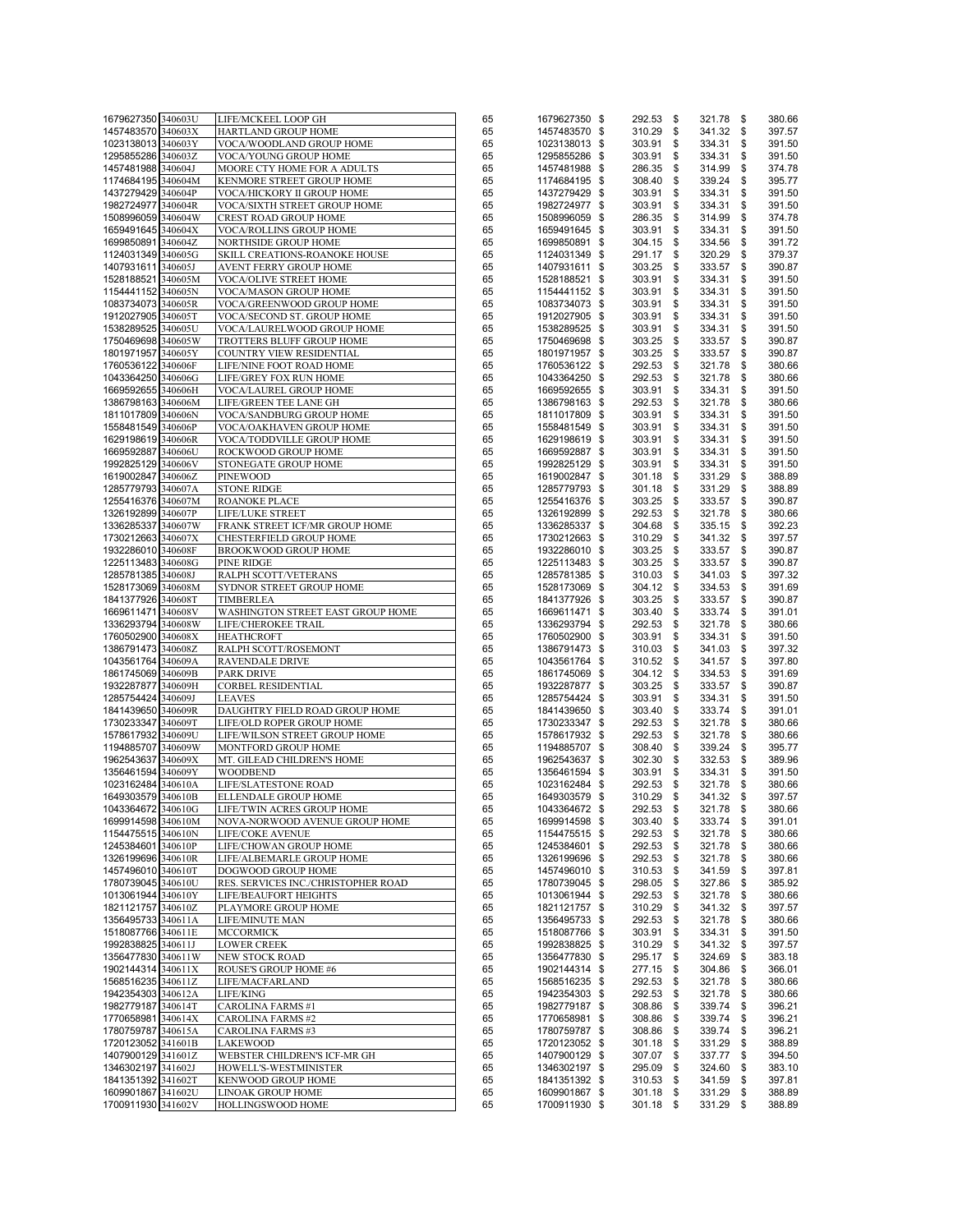| 1679627350 340603U                       |                                               |          |                                |                            |                     |                        |
|------------------------------------------|-----------------------------------------------|----------|--------------------------------|----------------------------|---------------------|------------------------|
|                                          | LIFE/MCKEEL LOOP GH                           | 65       | 1679627350 \$                  | 292.53 \$                  | 321.78              | \$<br>380.66           |
| 1457483570 340603X                       | HARTLAND GROUP HOME                           | 65       | 1457483570 \$                  | 310.29 \$                  | 341.32              | \$<br>397.57           |
| 1023138013 340603Y                       | VOCA/WOODLAND GROUP HOME                      | 65       | 1023138013 \$                  | 303.91 \$                  | 334.31              | \$<br>391.50           |
| 1295855286 340603Z                       | VOCA/YOUNG GROUP HOME                         | 65       | 1295855286 \$                  | 303.91                     | \$<br>334.31        | \$<br>391.50           |
| 1457481988 340604J                       | MOORE CTY HOME FOR A ADULTS                   | 65       | 1457481988 \$                  | 286.35                     | \$<br>314.99        | \$<br>374.78           |
| 1174684195 340604M                       | KENMORE STREET GROUP HOME                     | 65       | 1174684195 \$                  | 308.40                     | \$<br>339.24        | \$<br>395.77           |
| 1437279429 340604P                       | VOCA/HICKORY II GROUP HOME                    | 65       | 1437279429 \$                  | 303.91 \$                  | 334.31              | \$<br>391.50           |
| 1982724977 340604R                       | VOCA/SIXTH STREET GROUP HOME                  | 65       | 1982724977 \$                  | 303.91                     | \$<br>334.31        | \$<br>391.50           |
| 1508996059 340604W                       |                                               |          |                                | 286.35 \$                  |                     | \$<br>374.78           |
|                                          | CREST ROAD GROUP HOME                         | 65       | 1508996059 \$                  |                            | 314.99              |                        |
| 1659491645 340604X                       | VOCA/ROLLINS GROUP HOME                       | 65       | 1659491645 \$                  | 303.91                     | \$<br>334.31        | \$<br>391.50           |
| 1699850891 340604Z                       | NORTHSIDE GROUP HOME                          | 65       | 1699850891 \$                  | 304.15 \$                  | 334.56              | \$<br>391.72           |
| 1124031349 340605G                       | SKILL CREATIONS-ROANOKE HOUSE                 | 65       | 1124031349 \$                  | 291.17 \$                  | 320.29              | \$<br>379.37           |
| 1407931611 340605J                       | AVENT FERRY GROUP HOME                        | 65       | 1407931611 \$                  | 303.25                     | \$<br>333.57        | \$<br>390.87           |
| 1528188521 340605M                       | VOCA/OLIVE STREET HOME                        | 65       | 1528188521 \$                  | 303.91 \$                  | 334.31              | \$<br>391.50           |
| 1154441152 340605N                       | VOCA/MASON GROUP HOME                         | 65       | 1154441152 \$                  | 303.91                     | \$<br>334.31        | \$<br>391.50           |
| 1083734073 340605R                       | VOCA/GREENWOOD GROUP HOME                     | 65       | 1083734073 \$                  | 303.91                     | \$<br>334.31        | \$<br>391.50           |
| 1912027905 340605T                       | VOCA/SECOND ST. GROUP HOME                    | 65       | 1912027905 \$                  | 303.91                     | \$<br>334.31        | \$<br>391.50           |
|                                          |                                               |          |                                | 303.91                     | \$                  |                        |
| 1538289525 340605U                       | VOCA/LAURELWOOD GROUP HOME                    | 65       | 1538289525 \$                  |                            | 334.31              | \$<br>391.50           |
| 1750469698 340605W                       | TROTTERS BLUFF GROUP HOME                     | 65       | 1750469698 \$                  | 303.25                     | \$<br>333.57        | \$<br>390.87           |
| 1801971957 340605Y                       | COUNTRY VIEW RESIDENTIAL                      | 65       | 1801971957 \$                  | 303.25 \$                  | 333.57              | \$<br>390.87           |
| 1760536122 340606F                       | LIFE/NINE FOOT ROAD HOME                      | 65       | 1760536122 \$                  | 292.53 \$                  | 321.78              | \$<br>380.66           |
| 1043364250 340606G                       | LIFE/GREY FOX RUN HOME                        | 65       | 1043364250 \$                  | 292.53                     | \$<br>321.78        | \$<br>380.66           |
| 1669592655 340606H                       | VOCA/LAUREL GROUP HOME                        | 65       | 1669592655 \$                  | 303.91 \$                  | 334.31              | \$<br>391.50           |
| 1386798163 340606M                       | LIFE/GREEN TEE LANE GH                        | 65       | 1386798163 \$                  | 292.53                     | \$<br>321.78        | \$<br>380.66           |
| 1811017809 340606N                       | VOCA/SANDBURG GROUP HOME                      | 65       | 1811017809 \$                  | 303.91                     | \$<br>334.31        | \$<br>391.50           |
| 1558481549 340606P                       | VOCA/OAKHAVEN GROUP HOME                      | 65       | 1558481549 \$                  | 303.91                     | \$<br>334.31        | \$<br>391.50           |
|                                          |                                               |          |                                |                            |                     |                        |
| 1629198619 340606R                       | VOCA/TODDVILLE GROUP HOME                     | 65       | 1629198619 \$                  | 303.91                     | \$<br>334.31        | \$<br>391.50           |
| 1669592887 340606U                       | ROCKWOOD GROUP HOME                           | 65       | 1669592887 \$                  | 303.91                     | \$<br>334.31        | \$<br>391.50           |
| 1992825129 340606V                       | <b>STONEGATE GROUP HOME</b>                   | 65       | 1992825129 \$                  | 303.91                     | \$<br>334.31        | \$<br>391.50           |
| 1619002847 340606Z                       | <b>PINEWOOD</b>                               | 65       | 1619002847 \$                  | 301.18                     | \$<br>331.29        | \$<br>388.89           |
| 1285779793 340607A                       | <b>STONE RIDGE</b>                            | 65       | 1285779793 \$                  | $301.18$ \$                | 331.29              | \$<br>388.89           |
| 1255416376 340607M                       | <b>ROANOKE PLACE</b>                          | 65       | 1255416376 \$                  | $303.25$ \$                | 333.57              | \$<br>390.87           |
| 1326192899 340607P                       | <b>LIFE/LUKE STREET</b>                       | 65       | 1326192899 \$                  | 292.53                     | \$<br>321.78        | \$<br>380.66           |
|                                          |                                               |          |                                |                            |                     | 392.23                 |
| 1336285337 340607W                       | FRANK STREET ICF/MR GROUP HOME                | 65       | 1336285337 \$                  | 304.68 \$                  | 335.15              | \$                     |
| 1730212663 340607X                       | CHESTERFIELD GROUP HOME                       | 65       | 1730212663 \$                  | 310.29 \$                  | 341.32              | \$<br>397.57           |
| 1932286010 340608F                       | BROOKWOOD GROUP HOME                          | 65       | 1932286010 \$                  | 303.25 \$                  | 333.57              | \$<br>390.87           |
| 1225113483 340608G                       | <b>PINE RIDGE</b>                             | 65       | 1225113483 \$                  | 303.25 \$                  | 333.57              | \$<br>390.87           |
| 1285781385 340608J                       | RALPH SCOTT/VETERANS                          | 65       | 1285781385 \$                  | 310.03 \$                  | 341.03              | \$<br>397.32           |
| 1528173069 340608M                       | SYDNOR STREET GROUP HOME                      | 65       | 1528173069 \$                  | 304.12 \$                  | 334.53              | \$<br>391.69           |
| 1841377926 340608T                       | <b>TIMBERLEA</b>                              | 65       | 1841377926 \$                  | 303.25                     | \$<br>333.57        | \$<br>390.87           |
| 1669611471 340608V                       | WASHINGTON STREET EAST GROUP HOME             | 65       | 1669611471 \$                  | 303.40 \$                  | 333.74              | \$<br>391.01           |
| 1336293794 340608W                       | LIFE/CHEROKEE TRAIL                           | 65       | 1336293794 \$                  | 292.53                     | \$<br>321.78        | \$<br>380.66           |
|                                          | <b>HEATHCROFT</b>                             |          |                                | 303.91 \$                  |                     | \$<br>391.50           |
|                                          |                                               |          |                                |                            |                     |                        |
| 1760502900 340608X                       |                                               | 65       | 1760502900 \$                  |                            | 334.31              |                        |
| 1386791473 340608Z                       | RALPH SCOTT/ROSEMONT                          | 65       | 1386791473 \$                  | 310.03 \$                  | 341.03              | \$<br>397.32           |
| 1043561764 340609A                       | <b>RAVENDALE DRIVE</b>                        | 65       | 1043561764 \$                  | 310.52 \$                  | 341.57              | \$<br>397.80           |
| 1861745069 340609B                       | <b>PARK DRIVE</b>                             | 65       | 1861745069 \$                  | 304.12 \$                  | 334.53              | \$<br>391.69           |
| 1932287877 340609H                       | <b>CORBEL RESIDENTIAL</b>                     | 65       | 1932287877 \$                  | 303.25 \$                  |                     | \$<br>390.87           |
|                                          | <b>LEAVES</b>                                 |          | 1285754424 \$                  |                            | \$<br>333.57        |                        |
| 1285754424 340609J                       |                                               | 65       |                                | 303.91                     | 334.31              | \$<br>391.50           |
| 1841439650 340609R                       | DAUGHTRY FIELD ROAD GROUP HOME                | 65       | 1841439650 \$                  | 303.40                     | \$<br>333.74        | \$<br>391.01           |
| 1730233347 340609T                       | LIFE/OLD ROPER GROUP HOME                     | 65       | 1730233347 \$                  | 292.53                     | \$<br>321.78        | \$<br>380.66           |
| 1578617932 340609U                       | LIFE/WILSON STREET GROUP HOME                 | 65       | 1578617932 \$                  | 292.53                     | \$<br>321.78        | \$<br>380.66           |
| 1194885707 340609W                       | MONTFORD GROUP HOME                           | 65       | 1194885707 \$                  | 308.40                     | \$<br>339.24        | \$<br>395.77           |
| 1962543637 340609X                       | MT. GILEAD CHILDREN'S HOME                    | 65       | 1962543637 \$                  | 302.30 \$                  | 332.53              | \$<br>389.96           |
| 1356461594 340609Y                       | <b>WOODBEND</b>                               | 65       | 1356461594 \$                  | 303.91 \$                  | 334.31              | \$<br>391.50           |
| 1023162484 340610A                       | LIFE/SLATESTONE ROAD                          | 65       | 1023162484 \$                  | 292.53 \$                  | 321.78              | \$<br>380.66           |
| 1649303579 340610B                       | ELLENDALE GROUP HOME                          | 65       | 1649303579 \$                  | 310.29 \$                  | 341.32              | \$<br>397.57           |
| 1043364672 340610G                       | LIFE/TWIN ACRES GROUP HOME                    | 65       |                                | 292.53 \$                  | 321.78 \$           | 380.66                 |
| 1699914598 340610M                       | NOVA-NORWOOD AVENUE GROUP HOME                | 65       | 1043364672 \$<br>1699914598 \$ | 303.40 \$                  | 333.74 \$           | 391.01                 |
|                                          |                                               |          |                                |                            |                     |                        |
| 1154475515 340610N                       | <b>LIFE/COKE AVENUE</b>                       | 65       | 1154475515 \$                  | 292.53 \$                  | 321.78              | \$<br>380.66           |
| 1245384601 340610P                       | LIFE/CHOWAN GROUP HOME                        | 65       | 1245384601 \$                  | 292.53 \$                  | 321.78              | \$<br>380.66           |
| 1326199696 340610R                       | LIFE/ALBEMARLE GROUP HOME                     | 65       | 1326199696 \$                  | 292.53                     | \$<br>321.78        | \$<br>380.66           |
| 1457496010 340610T                       | DOGWOOD GROUP HOME                            | 65       | 1457496010 \$                  | 310.53                     | \$<br>341.59        | \$<br>397.81           |
| 1780739045 340610U                       | RES. SERVICES INC./CHRISTOPHER ROAD           | 65       | 1780739045 \$                  | 298.05                     | \$<br>327.86        | \$<br>385.92           |
| 1013061944 340610Y                       | LIFE/BEAUFORT HEIGHTS                         | 65       | 1013061944 \$                  | 292.53                     | \$<br>321.78        | \$<br>380.66           |
| 1821121757 340610Z                       | PLAYMORE GROUP HOME                           | 65       | 1821121757 \$                  | 310.29                     | \$<br>341.32        | \$<br>397.57           |
| 1356495733 340611A                       | LIFE/MINUTE MAN                               | 65       | 1356495733 \$                  | 292.53                     | \$<br>321.78        | \$<br>380.66           |
| 1518087766 340611E                       | <b>MCCORMICK</b>                              | 65       | 1518087766 \$                  | 303.91                     | \$<br>334.31        | \$<br>391.50           |
|                                          |                                               |          |                                |                            |                     |                        |
| 1992838825 340611J                       | <b>LOWER CREEK</b>                            | 65       | 1992838825 \$                  | 310.29                     | \$<br>341.32        | \$<br>397.57           |
| 1356477830 340611W                       | <b>NEW STOCK ROAD</b>                         | 65       | 1356477830 \$                  | 295.17 \$                  | 324.69              | \$<br>383.18           |
| 1902144314 340611X                       | ROUSE'S GROUP HOME #6                         | 65       | 1902144314 \$                  | 277.15                     | \$<br>304.86        | \$<br>366.01           |
| 1568516235 340611Z                       | LIFE/MACFARLAND                               | 65       | 1568516235 \$                  | 292.53 \$                  | 321.78              | \$<br>380.66           |
| 1942354303 340612A                       | LIFE/KING                                     | 65       | 1942354303 \$                  | 292.53                     | \$<br>321.78        | \$<br>380.66           |
| 1982779187 340614T                       | <b>CAROLINA FARMS #1</b>                      | 65       | 1982779187 \$                  | 308.86                     | \$<br>339.74        | \$<br>396.21           |
| 1770658981 340614X                       | <b>CAROLINA FARMS #2</b>                      | 65       | 1770658981 \$                  | 308.86                     | \$<br>339.74        | \$<br>396.21           |
| 1780759787 340615A                       | <b>CAROLINA FARMS#3</b>                       | 65       | 1780759787 \$                  | 308.86                     | \$<br>339.74        | \$<br>396.21           |
| 1720123052 341601B                       | <b>LAKEWOOD</b>                               | 65       | 1720123052 \$                  | 301.18                     | \$<br>331.29        | \$<br>388.89           |
| 1407900129 341601Z                       |                                               | 65       |                                |                            | \$                  | \$<br>394.50           |
|                                          | WEBSTER CHILDREN'S ICF-MR GH                  |          | 1407900129 \$                  | 307.07                     | 337.77              |                        |
| 1346302197 341602J                       | HOWELL'S-WESTMINISTER                         | 65       | 1346302197 \$                  | 295.09                     | \$<br>324.60        | \$<br>383.10           |
| 1841351392 341602T                       | KENWOOD GROUP HOME                            | 65       | 1841351392 \$                  | 310.53 \$                  | 341.59              | \$<br>397.81           |
| 1609901867 341602U<br>1700911930 341602V | <b>LINOAK GROUP HOME</b><br>HOLLINGSWOOD HOME | 65<br>65 | 1609901867 \$<br>1700911930 \$ | $301.18$ \$<br>$301.18$ \$ | 331.29<br>331.29 \$ | \$<br>388.89<br>388.89 |